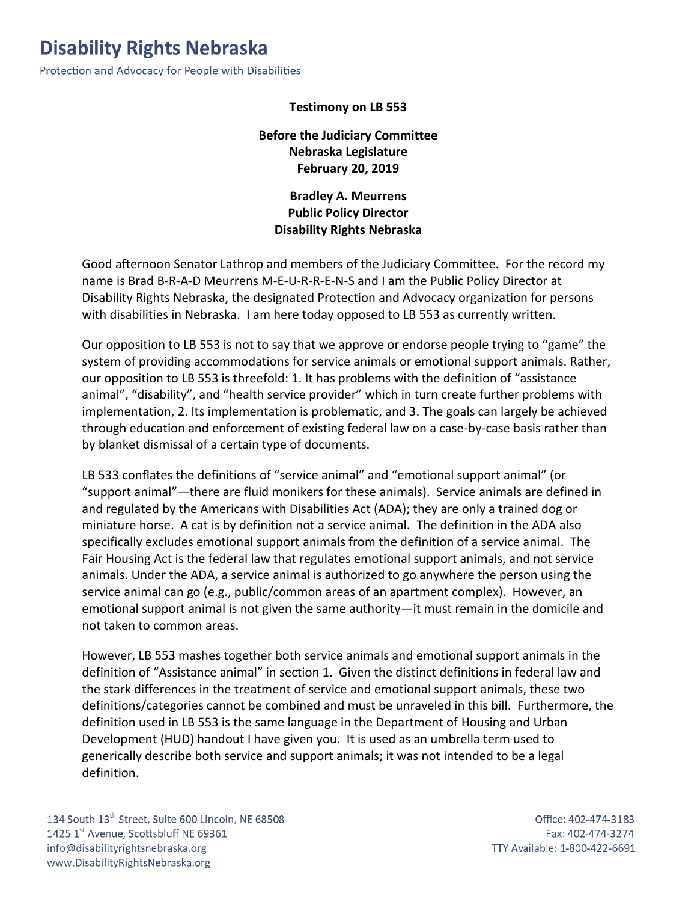## **Disability Rights Nebraska**

Protection and Advocacy for People with Disabilities

## **Testimony on LB 553**

## **Before the Judiciary Committee Nebraska Legislature February 20, 2019**

**Bradley A. Meurrens Public Policy Director Disability Rights Nebraska**

Good afternoon Senator Lathrop and members of the Judiciary Committee. For the record my name is Brad B-R-A-D Meurrens M-E-U-R-R-E-N-S and I am the Public Policy Director at Disability Rights Nebraska, the designated Protection and Advocacy organization for persons with disabilities in Nebraska. I am here today opposed to LB 553 as currently written.

Our opposition to LB 553 is not to say that we approve or endorse people trying to "game" the system of providing accommodations for service animals or emotional support animals. Rather, our opposition to LB 553 is threefold: 1. It has problems with the definition of "assistance animal", "disability", and "health service provider" which in turn create further problems with implementation, 2. Its implementation is problematic, and 3. The goals can largely be achieved through education and enforcement of existing federal law on a case-by-case basis rather than by blanket dismissal of a certain type of documents.

LB 533 conflates the definitions of "service animal" and "emotional support animal" (or "support animal"—there are fluid monikers for these animals). Service animals are defined in and regulated by the Americans with Disabilities Act (ADA); they are only a trained dog or miniature horse. A cat is by definition not a service animal. The definition in the ADA also specifically excludes emotional support animals from the definition of a service animal. The Fair Housing Act is the federal law that regulates emotional support animals, and not service animals. Under the ADA, a service animal is authorized to go anywhere the person using the service animal can go (e.g., public/common areas of an apartment complex). However, an emotional support animal is not given the same authority—it must remain in the domicile and not taken to common areas.

However, LB 553 mashes together both service animals and emotional support animals in the definition of "Assistance animal" in section 1. Given the distinct definitions in federal law and the stark differences in the treatment of service and emotional support animals, these two definitions/categories cannot be combined and must be unraveled in this bill. Furthermore, the definition used in LB 553 is the same language in the Department of Housing and Urban Development (HUD) handout I have given you. It is used as an umbrella term used to generically describe both service and support animals; it was not intended to be a legal definition.

134 South 13<sup>th</sup> Street, Suite 600 Lincoln, NE 68508 1425 1st Avenue, Scottsbluff NE 69361 info@disabilityrightsnebraska.org www.DisabilityRightsNebraska.org

Office: 402-474-3183 Fax: 402-474-3274 TTY Available: 1-800-422-6691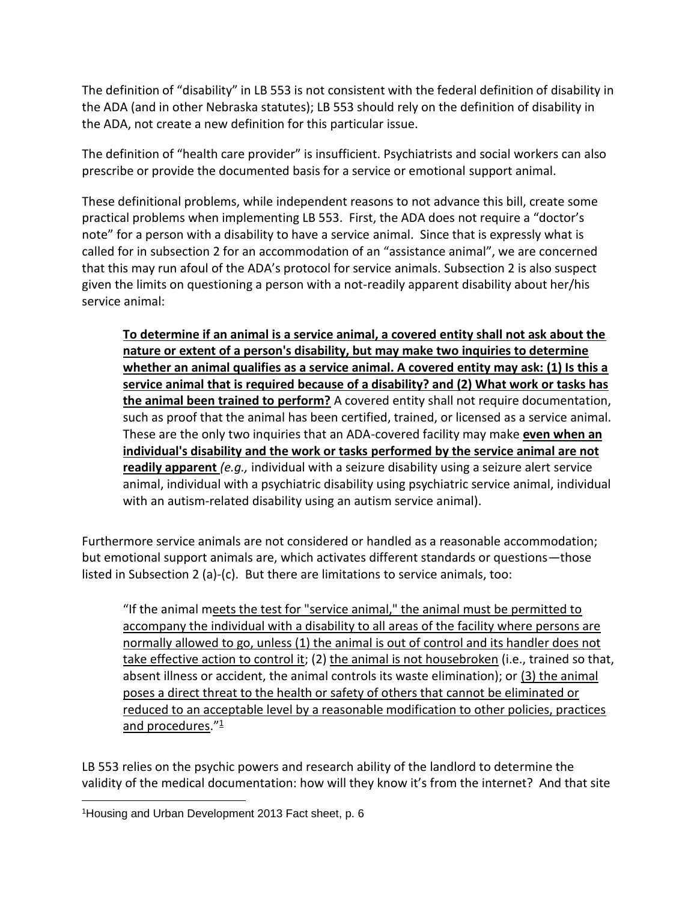The definition of "disability" in LB 553 is not consistent with the federal definition of disability in the ADA (and in other Nebraska statutes); LB 553 should rely on the definition of disability in the ADA, not create a new definition for this particular issue.

The definition of "health care provider" is insufficient. Psychiatrists and social workers can also prescribe or provide the documented basis for a service or emotional support animal.

These definitional problems, while independent reasons to not advance this bill, create some practical problems when implementing LB 553. First, the ADA does not require a "doctor's note" for a person with a disability to have a service animal. Since that is expressly what is called for in subsection 2 for an accommodation of an "assistance animal", we are concerned that this may run afoul of the ADA's protocol for service animals. Subsection 2 is also suspect given the limits on questioning a person with a not-readily apparent disability about her/his service animal:

**To determine if an animal is a service animal, a covered entity shall not ask about the nature or extent of a person's disability, but may make two inquiries to determine whether an animal qualifies as a service animal. A covered entity may ask: (1) Is this a service animal that is required because of a disability? and (2) What work or tasks has the animal been trained to perform?** A covered entity shall not require documentation, such as proof that the animal has been certified, trained, or licensed as a service animal. These are the only two inquiries that an ADA-covered facility may make **even when an individual's disability and the work or tasks performed by the service animal are not readily apparent** *(e.g.,* individual with a seizure disability using a seizure alert service animal, individual with a psychiatric disability using psychiatric service animal, individual with an autism-related disability using an autism service animal).

Furthermore service animals are not considered or handled as a reasonable accommodation; but emotional support animals are, which activates different standards or questions—those listed in Subsection 2 (a)-(c). But there are limitations to service animals, too:

"If the animal meets the test for "service animal," the animal must be permitted to accompany the individual with a disability to all areas of the facility where persons are normally allowed to go, unless (1) the animal is out of control and its handler does not take effective action to control it; (2) the animal is not housebroken (i.e., trained so that, absent illness or accident, the animal controls its waste elimination); or (3) the animal poses a direct threat to the health or safety of others that cannot be eliminated or reduced to an acceptable level by a reasonable modification to other policies, practices and procedures. $"^{\underline{1}}$ 

LB 553 relies on the psychic powers and research ability of the landlord to determine the validity of the medical documentation: how will they know it's from the internet? And that site

 $\overline{a}$ 

<sup>1</sup>Housing and Urban Development 2013 Fact sheet, p. 6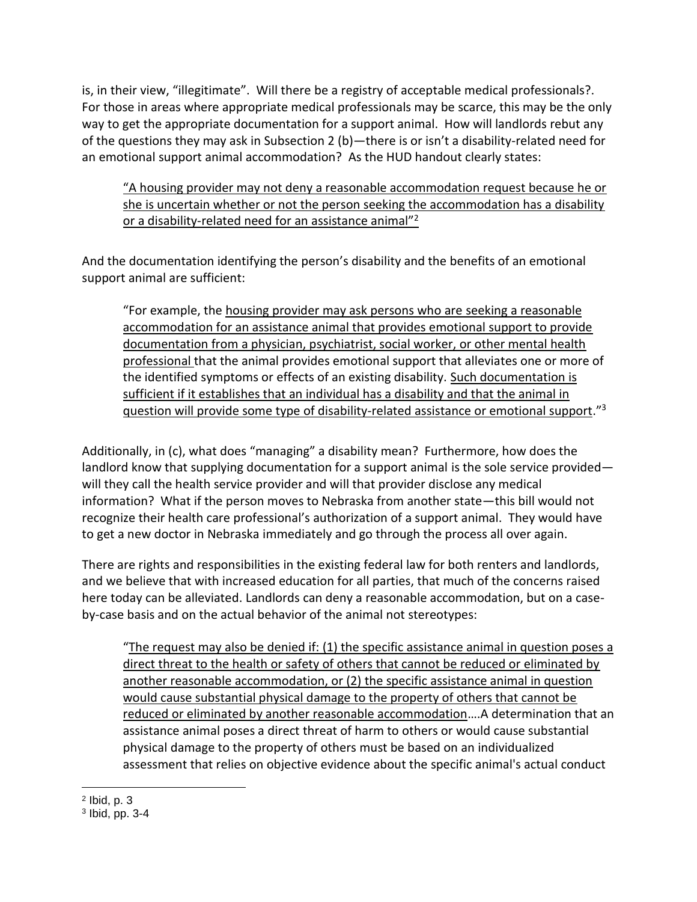is, in their view, "illegitimate". Will there be a registry of acceptable medical professionals?. For those in areas where appropriate medical professionals may be scarce, this may be the only way to get the appropriate documentation for a support animal. How will landlords rebut any of the questions they may ask in Subsection 2 (b)—there is or isn't a disability-related need for an emotional support animal accommodation? As the HUD handout clearly states:

"A housing provider may not deny a reasonable accommodation request because he or she is uncertain whether or not the person seeking the accommodation has a disability or a disability-related need for an assistance animal"<sup>2</sup>

And the documentation identifying the person's disability and the benefits of an emotional support animal are sufficient:

"For example, the housing provider may ask persons who are seeking a reasonable accommodation for an assistance animal that provides emotional support to provide documentation from a physician, psychiatrist, social worker, or other mental health professional that the animal provides emotional support that alleviates one or more of the identified symptoms or effects of an existing disability. Such documentation is sufficient if it establishes that an individual has a disability and that the animal in question will provide some type of disability-related assistance or emotional support."<sup>3</sup>

Additionally, in (c), what does "managing" a disability mean? Furthermore, how does the landlord know that supplying documentation for a support animal is the sole service provided will they call the health service provider and will that provider disclose any medical information? What if the person moves to Nebraska from another state—this bill would not recognize their health care professional's authorization of a support animal. They would have to get a new doctor in Nebraska immediately and go through the process all over again.

There are rights and responsibilities in the existing federal law for both renters and landlords, and we believe that with increased education for all parties, that much of the concerns raised here today can be alleviated. Landlords can deny a reasonable accommodation, but on a caseby-case basis and on the actual behavior of the animal not stereotypes:

"The request may also be denied if: (1) the specific assistance animal in question poses a direct threat to the health or safety of others that cannot be reduced or eliminated by another reasonable accommodation, or (2) the specific assistance animal in question would cause substantial physical damage to the property of others that cannot be reduced or eliminated by another reasonable accommodation….A determination that an assistance animal poses a direct threat of harm to others or would cause substantial physical damage to the property of others must be based on an individualized assessment that relies on objective evidence about the specific animal's actual conduct

 $\overline{a}$ 2 Ibid, p. 3

<sup>3</sup> Ibid, pp. 3-4